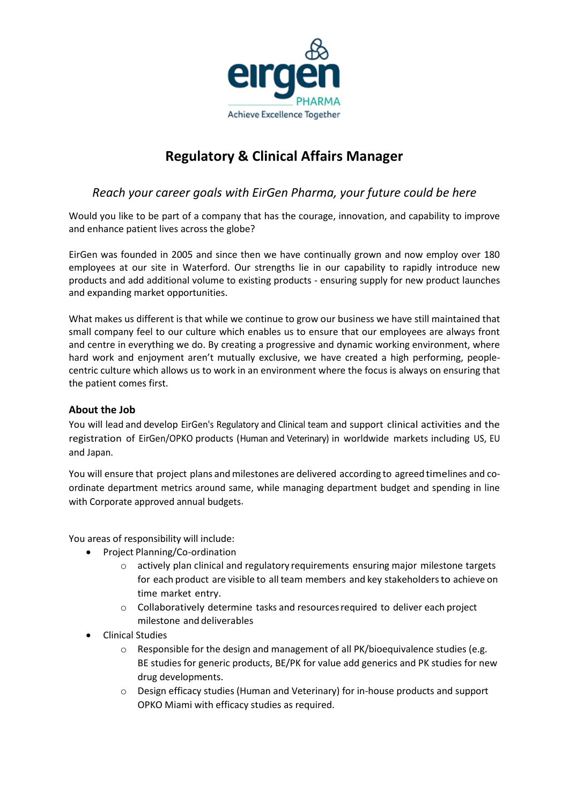

# **Regulatory & Clinical Affairs Manager**

# *Reach your career goals with EirGen Pharma, your future could be here*

Would you like to be part of a company that has the courage, innovation, and capability to improve and enhance patient lives across the globe?

EirGen was founded in 2005 and since then we have continually grown and now employ over 180 employees at our site in Waterford. Our strengths lie in our capability to rapidly introduce new products and add additional volume to existing products - ensuring supply for new product launches and expanding market opportunities.

What makes us different is that while we continue to grow our business we have still maintained that small company feel to our culture which enables us to ensure that our employees are always front and centre in everything we do. By creating a progressive and dynamic working environment, where hard work and enjoyment aren't mutually exclusive, we have created a high performing, peoplecentric culture which allows us to work in an environment where the focus is always on ensuring that the patient comes first.

# **About the Job**

You will lead and develop EirGen's Regulatory and Clinical team and support clinical activities and the registration of EirGen/OPKO products (Human and Veterinary) in worldwide markets including US, EU and Japan.

You will ensure that project plans and milestones are delivered according to agreed timelines and coordinate department metrics around same, while managing department budget and spending in line with Corporate approved annual budgets.

You areas of responsibility will include:

- Project Planning/Co-ordination
	- o actively plan clinical and regulatory requirements ensuring major milestone targets for each product are visible to all team members and key stakeholdersto achieve on time market entry.
	- o Collaboratively determine tasks and resourcesrequired to deliver each project milestone and deliverables
- Clinical Studies
	- $\circ$  Responsible for the design and management of all PK/bioequivalence studies (e.g. BE studies for generic products, BE/PK for value add generics and PK studies for new drug developments.
	- o Design efficacy studies (Human and Veterinary) for in-house products and support OPKO Miami with efficacy studies as required.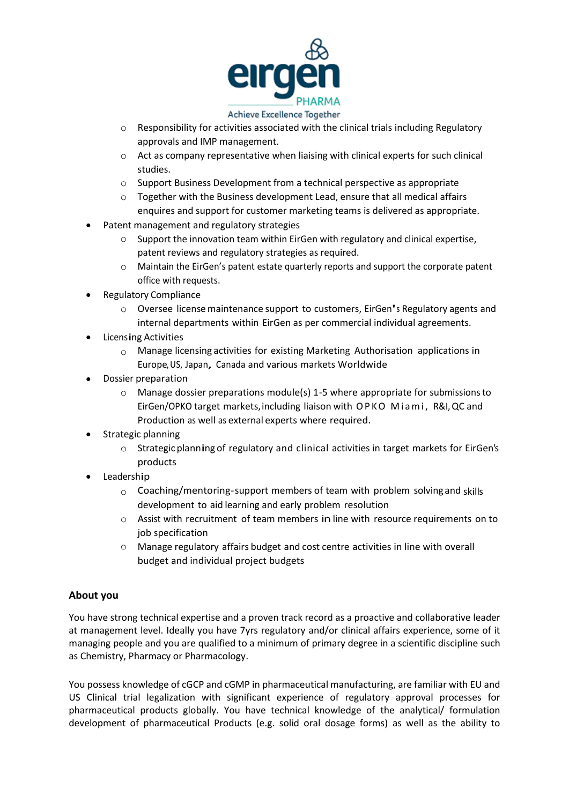

#### Achieve Excellence Together

- o Responsibility for activities associated with the clinical trials including Regulatory approvals and IMP management.
- o Act as company representative when liaising with clinical experts for such clinical studies.
- o Support Business Development from a technical perspective as appropriate
- $\circ$  Together with the Business development Lead, ensure that all medical affairs enquires and support for customer marketing teams is delivered as appropriate.
- Patent management and regulatory strategies
	- o Support the innovation team within EirGen with regulatory and clinical expertise, patent reviews and regulatory strategies as required.
	- o Maintain the EirGen's patent estate quarterly reports and support the corporate patent office with requests.
- Regulatory Compliance
	- Oversee license maintenance support to customers, EirGen's Regulatory agents and internal departments within EirGen as per commercial individual agreements.
- Licensing Activities
	- $\circ$  Manage licensing activities for existing Marketing Authorisation applications in Europe, US, Japan, Canada and various markets Worldwide
- Dossier preparation
	- o Manage dossier preparations module(s) 1-5 where appropriate for submissionsto EirGen/OPKO target markets, including liaison with OPKO Miami, R&I, QC and Production as well as external experts where required.
- Strategic planning
	- <sup>o</sup> Strategic planning of regulatory and clinical activities in target markets for EirGen's products
- Leadership
	- $\circ$  Coaching/mentoring-support members of team with problem solving and skills development to aid learning and early problem resolution
	- $\circ$  Assist with recruitment of team members in line with resource requirements on to job specification
	- o Manage regulatory affairs budget and cost centre activities in line with overall budget and individual project budgets

# **About you**

You have strong technical expertise and a proven track record as a proactive and collaborative leader at management level. Ideally you have 7yrs regulatory and/or clinical affairs experience, some of it managing people and you are qualified to a minimum of primary degree in a scientific discipline such as Chemistry, Pharmacy or Pharmacology.

You possess knowledge of cGCP and cGMP in pharmaceutical manufacturing, are familiar with EU and US Clinical trial legalization with significant experience of regulatory approval processes for pharmaceutical products globally. You have technical knowledge of the analytical/ formulation development of pharmaceutical Products (e.g. solid oral dosage forms) as well as the ability to